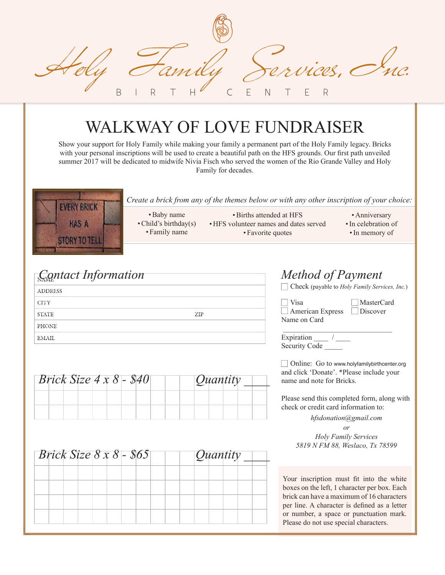Gamily Services, C BIRTH CENTER

# WALKWAY OF LOVE FUNDRAISER

Show your support for Holy Family while making your family a permanent part of the Holy Family legacy. Bricks with your personal inscriptions will be used to create a beautiful path on the HFS grounds. Our first path unveiled summer 2017 will be dedicated to midwife Nivia Fisch who served the women of the Rio Grande Valley and Holy Family for decades.



### *Contact Information Method of Payment*

| <b>ADDRESS</b> |     |
|----------------|-----|
| <b>CITY</b>    |     |
| <b>STATE</b>   | ZIP |
| PHONE          |     |
| EMAIL          |     |

| <i>Brick Size</i> $4 \times 8$ - \$40 |  |  |  |  |  |  |  |  | Quantity |  |  |
|---------------------------------------|--|--|--|--|--|--|--|--|----------|--|--|
|                                       |  |  |  |  |  |  |  |  |          |  |  |
|                                       |  |  |  |  |  |  |  |  |          |  |  |
|                                       |  |  |  |  |  |  |  |  |          |  |  |

|  |  |  |  |  |  |  |  | $\sqrt{$ Quantity |  |  |  |  |  |
|--|--|--|--|--|--|--|--|-------------------|--|--|--|--|--|
|  |  |  |  |  |  |  |  |                   |  |  |  |  |  |
|  |  |  |  |  |  |  |  |                   |  |  |  |  |  |
|  |  |  |  |  |  |  |  |                   |  |  |  |  |  |
|  |  |  |  |  |  |  |  |                   |  |  |  |  |  |
|  |  |  |  |  |  |  |  |                   |  |  |  |  |  |

| Method of Payment<br>Check (payable to Holy Family Services, Inc.) |            |
|--------------------------------------------------------------------|------------|
| Visa<br>$\Box$ American Express $\Box$ Discover<br>Name on Card    | MasterCard |
| Expiration<br><b>Security Code</b>                                 |            |

□ Online: Go to www.holyfamilybirthcenter.org and click 'Donate'. \*Please include your name and note for Bricks.

Please send this completed form, along with check or credit card information to:

*hfsdonation@gmail.com*

*or Holy Family Services 5819 N FM 88, Weslaco, Tx 78599*

Your inscription must fit into the white boxes on the left, 1 character per box. Each brick can have a maximum of 16 characters per line. A character is defned as a letter or number, a space or punctuation mark. Please do not use special characters.